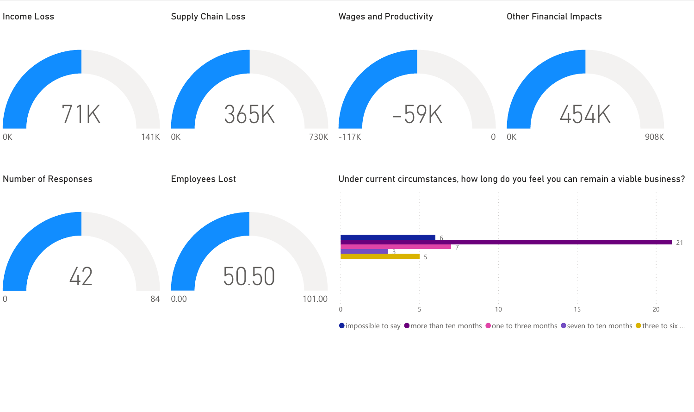

 $\bullet$  impossible to say  $\bullet$  more than ten months  $\bullet$  one to three months  $\bullet$  seven to ten months  $\bullet$  three to six ...